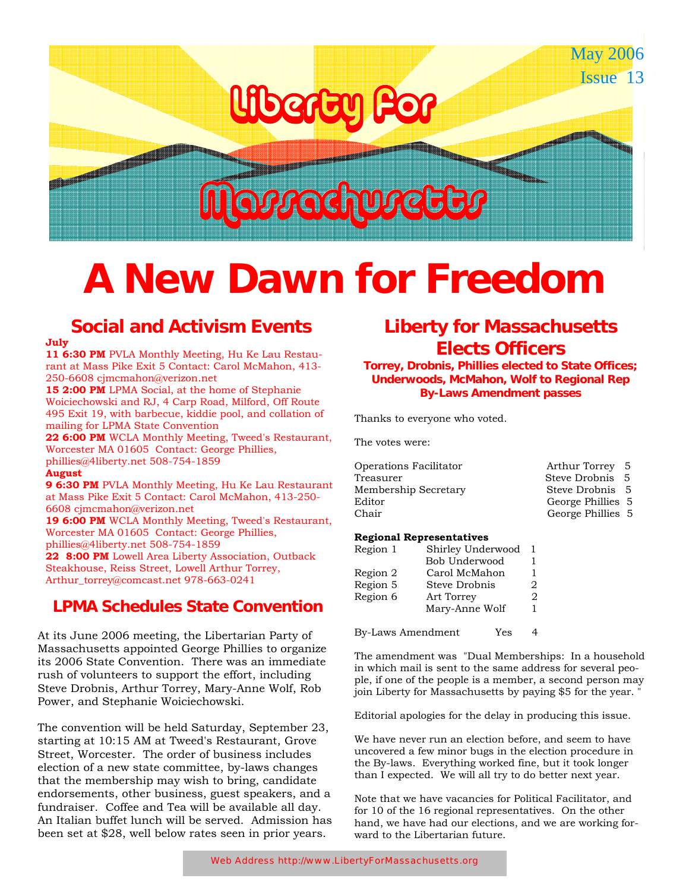# Liberty for for

# Massachusetts

<u> 1999 - Jereman Standard Barbon, mensk politiker og forskellige og forskellige og det born og det for de forme</u>

## **A New Dawn for Freedom**

## **Social and Activism Events**

#### **July**

**11 6:30 PM** PVLA Monthly Meeting, Hu Ke Lau Restaurant at Mass Pike Exit 5 Contact: Carol McMahon, 413- 250-6608 cjmcmahon@verizon.net

15 2:00 PM LPMA Social, at the home of Stephanie Woiciechowski and RJ, 4 Carp Road, Milford, Off Route 495 Exit 19, with barbecue, kiddie pool, and collation of mailing for LPMA State Convention

**22 6:00 PM** WCLA Monthly Meeting, Tweed's Restaurant, Worcester MA 01605 Contact: George Phillies, phillies@4liberty.net 508-754-1859

#### **August**

**9 6:30 PM** PVLA Monthly Meeting, Hu Ke Lau Restaurant at Mass Pike Exit 5 Contact: Carol McMahon, 413-250- 6608 cjmcmahon@verizon.net

**19 6:00 PM** WCLA Monthly Meeting, Tweed's Restaurant, Worcester MA 01605 Contact: George Phillies, phillies@4liberty.net 508-754-1859

22 8:00 PM Lowell Area Liberty Association, Outback Steakhouse, Reiss Street, Lowell Arthur Torrey, Arthur\_torrey@comcast.net 978-663-0241

#### **LPMA Schedules State Convention**

At its June 2006 meeting, the Libertarian Party of Massachusetts appointed George Phillies to organize its 2006 State Convention. There was an immediate rush of volunteers to support the effort, including Steve Drobnis, Arthur Torrey, Mary-Anne Wolf, Rob Power, and Stephanie Woiciechowski.

The convention will be held Saturday, September 23, starting at 10:15 AM at Tweed's Restaurant, Grove Street, Worcester. The order of business includes election of a new state committee, by-laws changes that the membership may wish to bring, candidate endorsements, other business, guest speakers, and a fundraiser. Coffee and Tea will be available all day. An Italian buffet lunch will be served. Admission has been set at \$28, well below rates seen in prior years.

### **Liberty for Massachusetts Elects Officers**

**Torrey, Drobnis, Phillies elected to State Offices; Underwoods, McMahon, Wolf to Regional Rep By-Laws Amendment passes** 

Thanks to everyone who voted.

The votes were:

| Operations Facilitator | Arthur Torrey 5   |  |
|------------------------|-------------------|--|
| Treasurer              | Steve Drobnis 5   |  |
| Membership Secretary   | Steve Drobnis 5   |  |
| Editor                 | George Phillies 5 |  |
| Chair                  | George Phillies 5 |  |
|                        |                   |  |

#### **Regional Representatives**

| Region 1 | Shirley Underwood |   |
|----------|-------------------|---|
|          | Bob Underwood     | 1 |
| Region 2 | Carol McMahon     | 1 |
| Region 5 | Steve Drobnis     | 2 |
| Region 6 | Art Torrey        | 2 |
|          | Mary-Anne Wolf    |   |

By-Laws Amendment Yes 4

The amendment was "Dual Memberships: In a household in which mail is sent to the same address for several people, if one of the people is a member, a second person may join Liberty for Massachusetts by paying \$5 for the year. "

Editorial apologies for the delay in producing this issue.

We have never run an election before, and seem to have uncovered a few minor bugs in the election procedure in the By-laws. Everything worked fine, but it took longer than I expected. We will all try to do better next year.

Note that we have vacancies for Political Facilitator, and for 10 of the 16 regional representatives. On the other hand, we have had our elections, and we are working forward to the Libertarian future.